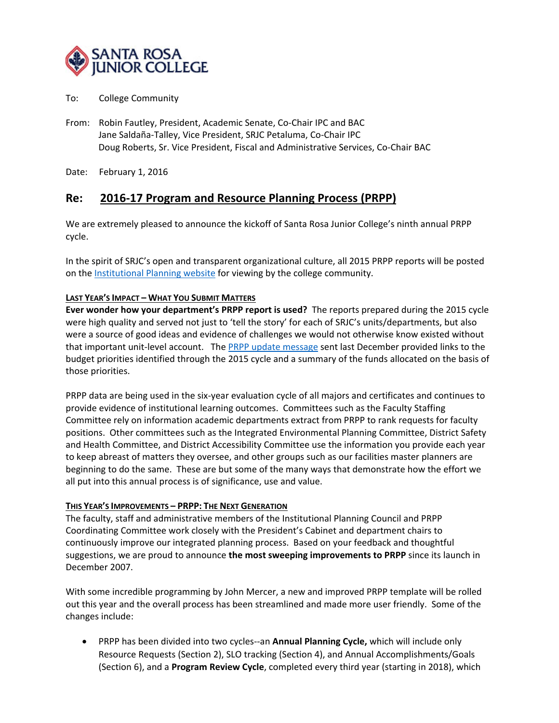

- To: College Community
- From: Robin Fautley, President, Academic Senate, Co‐Chair IPC and BAC Jane Saldaña‐Talley, Vice President, SRJC Petaluma, Co‐Chair IPC Doug Roberts, Sr. Vice President, Fiscal and Administrative Services, Co‐Chair BAC

Date: February 1, 2016

## **Re: 2016‐17 Program and Resource Planning Process (PRPP)**

We are extremely pleased to announce the kickoff of Santa Rosa Junior College's ninth annual PRPP cycle.

In the spirit of SRJC's open and transparent organizational culture, all 2015 PRPP reports will be posted on the Institutional Planning website for viewing by the college community.

#### **LAST YEAR'S IMPACT – WHAT YOU SUBMIT MATTERS**

**Ever wonder how your department's PRPP report is used?** The reports prepared during the 2015 cycle were high quality and served not just to 'tell the story' for each of SRJC's units/departments, but also were a source of good ideas and evidence of challenges we would not otherwise know existed without that important unit-level account. The PRPP update message sent last December provided links to the budget priorities identified through the 2015 cycle and a summary of the funds allocated on the basis of those priorities.

PRPP data are being used in the six-year evaluation cycle of all majors and certificates and continues to provide evidence of institutional learning outcomes. Committees such as the Faculty Staffing Committee rely on information academic departments extract from PRPP to rank requests for faculty positions. Other committees such as the Integrated Environmental Planning Committee, District Safety and Health Committee, and District Accessibility Committee use the information you provide each year to keep abreast of matters they oversee, and other groups such as our facilities master planners are beginning to do the same. These are but some of the many ways that demonstrate how the effort we all put into this annual process is of significance, use and value.

#### **THIS YEAR'S IMPROVEMENTS – PRPP: THE NEXT GENERATION**

The faculty, staff and administrative members of the Institutional Planning Council and PRPP Coordinating Committee work closely with the President's Cabinet and department chairs to continuously improve our integrated planning process. Based on your feedback and thoughtful suggestions, we are proud to announce **the most sweeping improvements to PRPP** since its launch in December 2007.

With some incredible programming by John Mercer, a new and improved PRPP template will be rolled out this year and the overall process has been streamlined and made more user friendly. Some of the changes include:

● PRPP has been divided into two cycles--an **Annual Planning Cycle,** which will include only Resource Requests (Section 2), SLO tracking (Section 4), and Annual Accomplishments/Goals (Section 6), and a **Program Review Cycle**, completed every third year (starting in 2018), which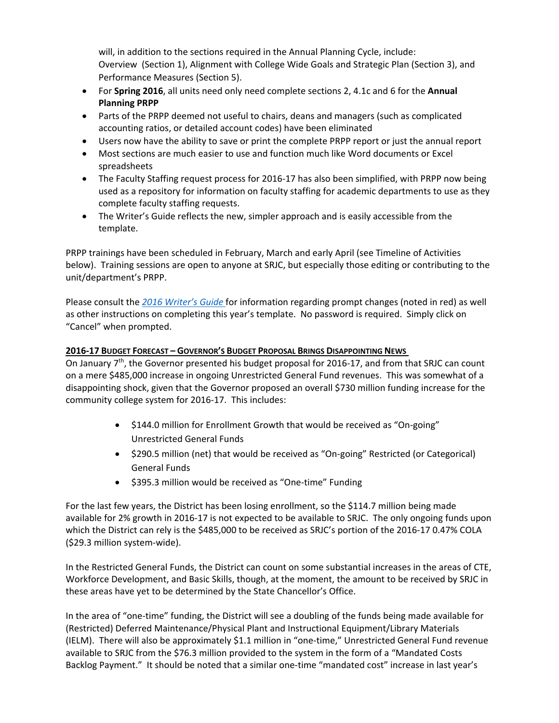will, in addition to the sections required in the Annual Planning Cycle, include: Overview (Section 1), Alignment with College Wide Goals and Strategic Plan (Section 3), and Performance Measures (Section 5).

- For **Spring 2016**, all units need only need complete sections 2, 4.1c and 6 for the **Annual Planning PRPP**
- Parts of the PRPP deemed not useful to chairs, deans and managers (such as complicated accounting ratios, or detailed account codes) have been eliminated
- Users now have the ability to save or print the complete PRPP report or just the annual report
- Most sections are much easier to use and function much like Word documents or Excel spreadsheets
- The Faculty Staffing request process for 2016-17 has also been simplified, with PRPP now being used as a repository for information on faculty staffing for academic departments to use as they complete faculty staffing requests.
- The Writer's Guide reflects the new, simpler approach and is easily accessible from the template.

PRPP trainings have been scheduled in February, March and early April (see Timeline of Activities below). Training sessions are open to anyone at SRJC, but especially those editing or contributing to the unit/department's PRPP.

Please consult the *2016 Writer's Guide* for information regarding prompt changes (noted in red) as well as other instructions on completing this year's template. No password is required. Simply click on "Cancel" when prompted.

### **2016‐17 BUDGET FORECAST – GOVERNOR'S BUDGET PROPOSAL BRINGS DISAPPOINTING NEWS**

On January  $7<sup>th</sup>$ , the Governor presented his budget proposal for 2016-17, and from that SRJC can count on a mere \$485,000 increase in ongoing Unrestricted General Fund revenues. This was somewhat of a disappointing shock, given that the Governor proposed an overall \$730 million funding increase for the community college system for 2016‐17. This includes:

- \$144.0 million for Enrollment Growth that would be received as "On-going" Unrestricted General Funds
- \$290.5 million (net) that would be received as "On-going" Restricted (or Categorical) General Funds
- \$395.3 million would be received as "One-time" Funding

For the last few years, the District has been losing enrollment, so the \$114.7 million being made available for 2% growth in 2016‐17 is not expected to be available to SRJC. The only ongoing funds upon which the District can rely is the \$485,000 to be received as SRJC's portion of the 2016‐17 0.47% COLA (\$29.3 million system‐wide).

In the Restricted General Funds, the District can count on some substantial increases in the areas of CTE, Workforce Development, and Basic Skills, though, at the moment, the amount to be received by SRJC in these areas have yet to be determined by the State Chancellor's Office.

In the area of "one-time" funding, the District will see a doubling of the funds being made available for (Restricted) Deferred Maintenance/Physical Plant and Instructional Equipment/Library Materials (IELM). There will also be approximately \$1.1 million in "one‐time," Unrestricted General Fund revenue available to SRJC from the \$76.3 million provided to the system in the form of a "Mandated Costs Backlog Payment." It should be noted that a similar one-time "mandated cost" increase in last year's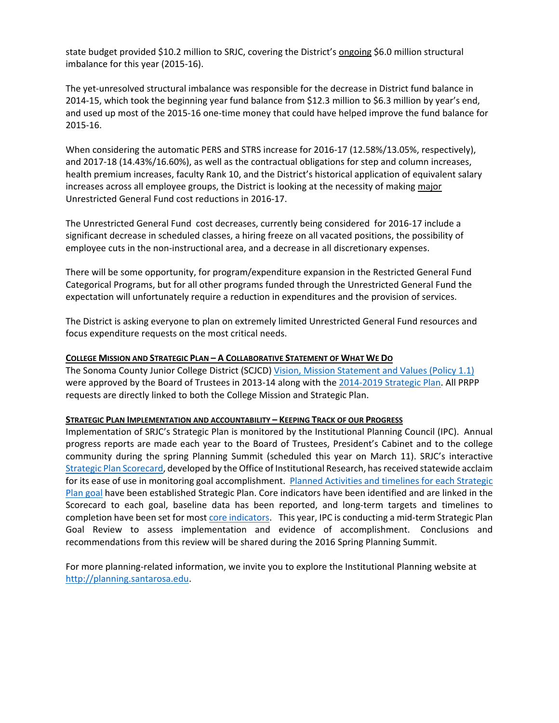state budget provided \$10.2 million to SRJC, covering the District's ongoing \$6.0 million structural imbalance for this year (2015‐16).

The yet-unresolved structural imbalance was responsible for the decrease in District fund balance in 2014‐15, which took the beginning year fund balance from \$12.3 million to \$6.3 million by year's end, and used up most of the 2015‐16 one‐time money that could have helped improve the fund balance for 2015‐16.

When considering the automatic PERS and STRS increase for 2016-17 (12.58%/13.05%, respectively), and 2017‐18 (14.43%/16.60%), as well as the contractual obligations for step and column increases, health premium increases, faculty Rank 10, and the District's historical application of equivalent salary increases across all employee groups, the District is looking at the necessity of making major Unrestricted General Fund cost reductions in 2016‐17.

The Unrestricted General Fund cost decreases, currently being considered for 2016‐17 include a significant decrease in scheduled classes, a hiring freeze on all vacated positions, the possibility of employee cuts in the non-instructional area, and a decrease in all discretionary expenses.

There will be some opportunity, for program/expenditure expansion in the Restricted General Fund Categorical Programs, but for all other programs funded through the Unrestricted General Fund the expectation will unfortunately require a reduction in expenditures and the provision of services.

The District is asking everyone to plan on extremely limited Unrestricted General Fund resources and focus expenditure requests on the most critical needs.

#### **COLLEGE MISSION AND STRATEGIC PLAN – A COLLABORATIVE STATEMENT OF WHAT WE DO**

The Sonoma County Junior College District (SCJCD) Vision, Mission Statement and Values (Policy 1.1) were approved by the Board of Trustees in 2013‐14 along with the 2014‐2019 Strategic Plan. All PRPP requests are directly linked to both the College Mission and Strategic Plan.

#### **STRATEGIC PLAN IMPLEMENTATION AND ACCOUNTABILITY – KEEPING TRACK OF OUR PROGRESS**

Implementation of SRJC's Strategic Plan is monitored by the Institutional Planning Council (IPC). Annual progress reports are made each year to the Board of Trustees, President's Cabinet and to the college community during the spring Planning Summit (scheduled this year on March 11). SRJC's interactive Strategic Plan Scorecard, developed by the Office of Institutional Research, has received statewide acclaim for its ease of use in monitoring goal accomplishment. Planned Activities and timelines for each Strategic Plan goal have been established Strategic Plan. Core indicators have been identified and are linked in the Scorecard to each goal, baseline data has been reported, and long‐term targets and timelines to completion have been set for most core indicators. This year, IPC is conducting a mid-term Strategic Plan Goal Review to assess implementation and evidence of accomplishment. Conclusions and recommendations from this review will be shared during the 2016 Spring Planning Summit.

For more planning-related information, we invite you to explore the Institutional Planning website at http://planning.santarosa.edu.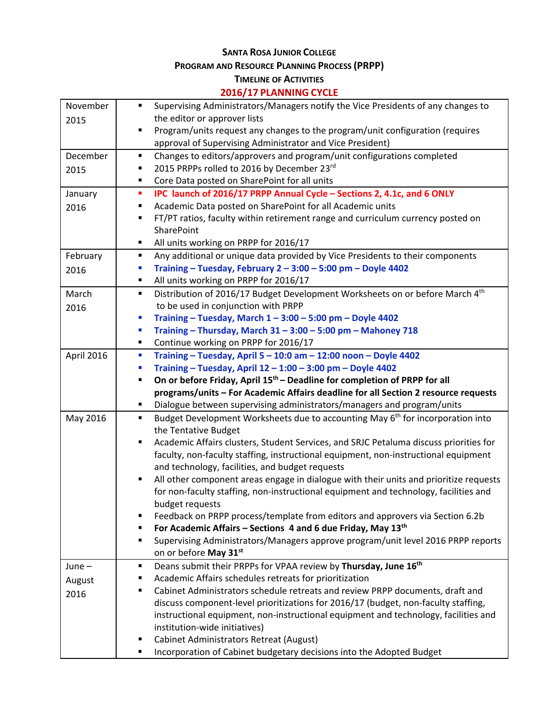# **SANTA ROSA JUNIOR COLLEGE**

**PROGRAM AND RESOURCE PLANNING PROCESS (PRPP)**

## **TIMELINE OF ACTIVITIES**

## **2016/17 PLANNING CYCLE**

| November   | Supervising Administrators/Managers notify the Vice Presidents of any changes to<br>٠                                       |
|------------|-----------------------------------------------------------------------------------------------------------------------------|
| 2015       | the editor or approver lists                                                                                                |
|            | Program/units request any changes to the program/unit configuration (requires<br>п                                          |
|            | approval of Supervising Administrator and Vice President)                                                                   |
| December   | Changes to editors/approvers and program/unit configurations completed<br>٠                                                 |
| 2015       | 2015 PRPPs rolled to 2016 by December 23rd<br>٠                                                                             |
|            | Core Data posted on SharePoint for all units<br>٠                                                                           |
| January    | IPC launch of 2016/17 PRPP Annual Cycle - Sections 2, 4.1c, and 6 ONLY<br>п                                                 |
| 2016       | Academic Data posted on SharePoint for all Academic units<br>٠                                                              |
|            | FT/PT ratios, faculty within retirement range and curriculum currency posted on<br>٠                                        |
|            | SharePoint                                                                                                                  |
|            | All units working on PRPP for 2016/17<br>٠                                                                                  |
| February   | Any additional or unique data provided by Vice Presidents to their components<br>٠                                          |
| 2016       | Training - Tuesday, February 2 - 3:00 - 5:00 pm - Doyle 4402<br>×                                                           |
|            | All units working on PRPP for 2016/17<br>٠                                                                                  |
| March      | Distribution of 2016/17 Budget Development Worksheets on or before March 4th<br>٠                                           |
| 2016       | to be used in conjunction with PRPP                                                                                         |
|            | Training - Tuesday, March $1 - 3:00 - 5:00$ pm - Doyle 4402<br>×                                                            |
|            | Training - Thursday, March 31 - 3:00 - 5:00 pm - Mahoney 718<br>I.                                                          |
|            | Continue working on PRPP for 2016/17<br>٠                                                                                   |
| April 2016 | Training - Tuesday, April 5 - 10:0 am - 12:00 noon - Doyle 4402<br>×                                                        |
|            | Training - Tuesday, April 12 - 1:00 - 3:00 pm - Doyle 4402<br>п                                                             |
|            | On or before Friday, April 15 <sup>th</sup> – Deadline for completion of PRPP for all<br>п                                  |
|            | programs/units - For Academic Affairs deadline for all Section 2 resource requests                                          |
|            | Dialogue between supervising administrators/managers and program/units<br>٠                                                 |
| May 2016   | Budget Development Worksheets due to accounting May 6 <sup>th</sup> for incorporation into<br>٠                             |
|            | the Tentative Budget                                                                                                        |
|            | Academic Affairs clusters, Student Services, and SRJC Petaluma discuss priorities for<br>٠                                  |
|            | faculty, non-faculty staffing, instructional equipment, non-instructional equipment                                         |
|            | and technology, facilities, and budget requests                                                                             |
|            | All other component areas engage in dialogue with their units and prioritize requests<br>$\blacksquare$                     |
|            | for non-faculty staffing, non-instructional equipment and technology, facilities and                                        |
|            | budget requests                                                                                                             |
|            | Feedback on PRPP process/template from editors and approvers via Section 6.2b<br>п                                          |
|            | For Academic Affairs – Sections 4 and 6 due Friday, May $13th$<br>٠                                                         |
|            | Supervising Administrators/Managers approve program/unit level 2016 PRPP reports<br>٠                                       |
|            | on or before May 31st                                                                                                       |
| June $-$   | Deans submit their PRPPs for VPAA review by Thursday, June 16 <sup>th</sup><br>٠                                            |
| August     | Academic Affairs schedules retreats for prioritization<br>٠                                                                 |
| 2016       | Cabinet Administrators schedule retreats and review PRPP documents, draft and<br>٠                                          |
|            | discuss component-level prioritizations for 2016/17 (budget, non-faculty staffing,                                          |
|            | instructional equipment, non-instructional equipment and technology, facilities and                                         |
|            | institution-wide initiatives)                                                                                               |
|            |                                                                                                                             |
|            | <b>Cabinet Administrators Retreat (August)</b><br>٠<br>Incorporation of Cabinet budgetary decisions into the Adopted Budget |